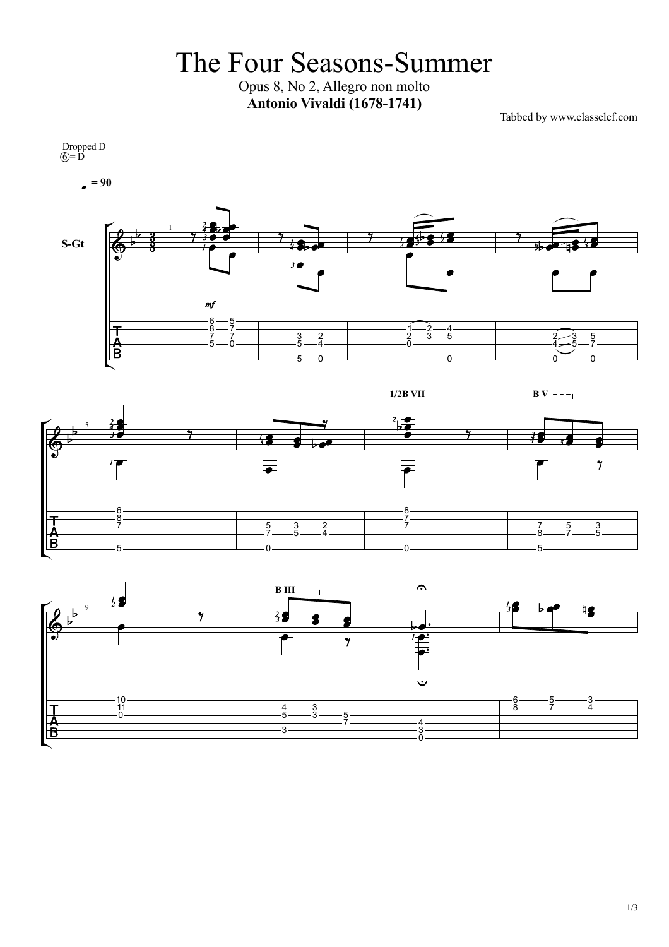## The Four Seasons-Summer

Opus 8, No 2, Allegro non molto **Antonio Vivaldi (1678-1741)**

Tabbed by www.classclef.com





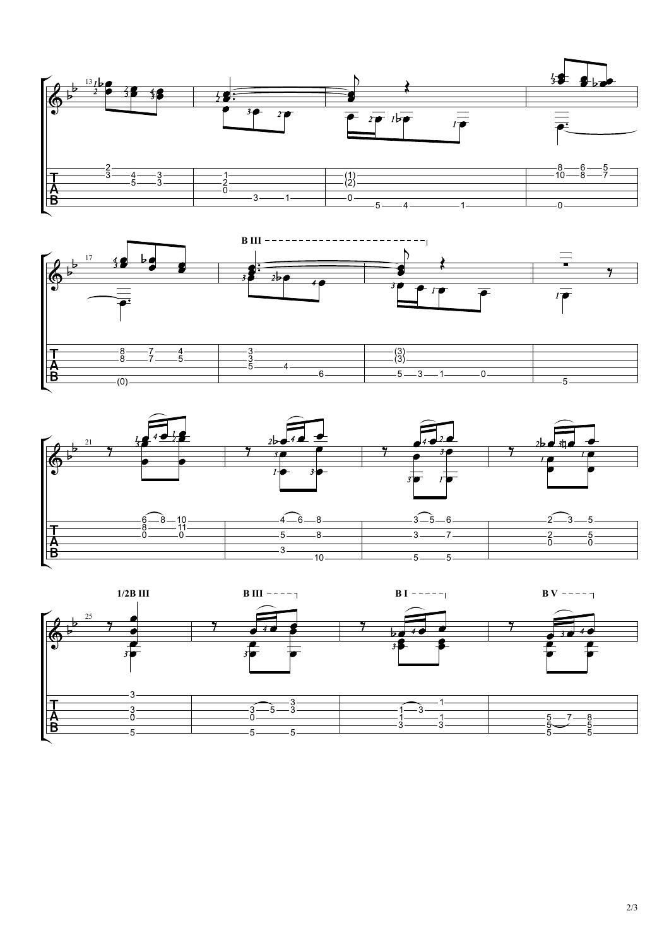